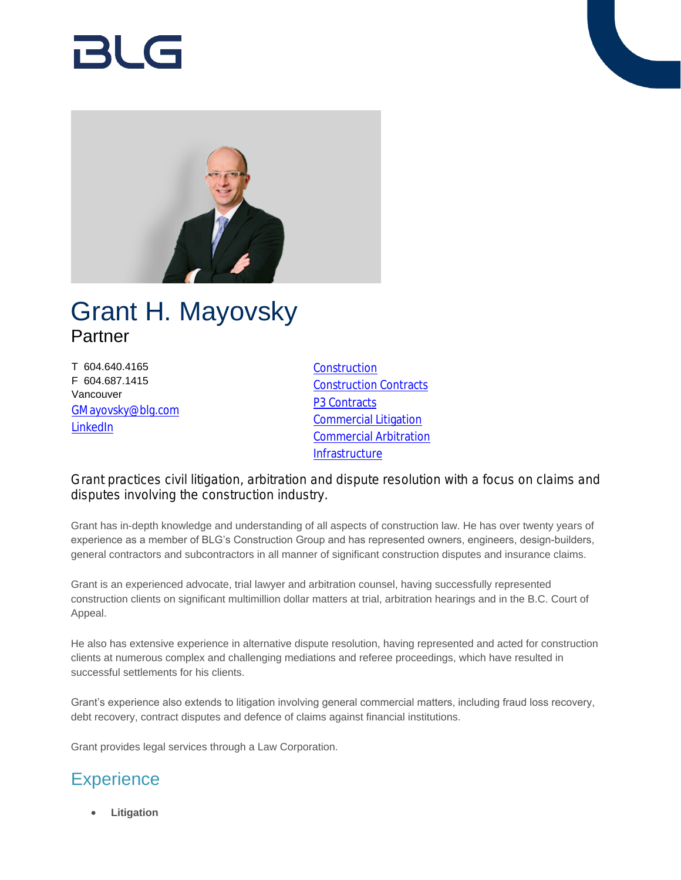# RI G



## Grant H. Mayovsky Partner

T 604.640.4165 F 604.687.1415 Vancouver [GMayovsky@blg.com](mailto:GMayovsky@blg.com) [LinkedIn](https://ca.linkedin.com/in/grant-mayovsky-b0641967)

**[Construction](https://www.blg.com/en/services/practice-areas/construction)** [Construction Contracts](https://www.blg.com/en/services/practice-areas/construction/construction-contracts) **[P3 Contracts](https://www.blg.com/en/services/industries/infrastructure/p3-contracts)** [Commercial Litigation](https://www.blg.com/en/services/practice-areas/disputes/commercial-litigation) [Commercial Arbitration](https://www.blg.com/en/services/practice-areas/disputes/commercial-arbitration) **[Infrastructure](https://www.blg.com/en/services/industries/infrastructure)** 

Grant practices civil litigation, arbitration and dispute resolution with a focus on claims and disputes involving the construction industry.

Grant has in-depth knowledge and understanding of all aspects of construction law. He has over twenty years of experience as a member of BLG's Construction Group and has represented owners, engineers, design-builders, general contractors and subcontractors in all manner of significant construction disputes and insurance claims.

Grant is an experienced advocate, trial lawyer and arbitration counsel, having successfully represented construction clients on significant multimillion dollar matters at trial, arbitration hearings and in the B.C. Court of Appeal.

He also has extensive experience in alternative dispute resolution, having represented and acted for construction clients at numerous complex and challenging mediations and referee proceedings, which have resulted in successful settlements for his clients.

Grant's experience also extends to litigation involving general commercial matters, including fraud loss recovery, debt recovery, contract disputes and defence of claims against financial institutions.

Grant provides legal services through a Law Corporation.

### **Experience**

**Litigation**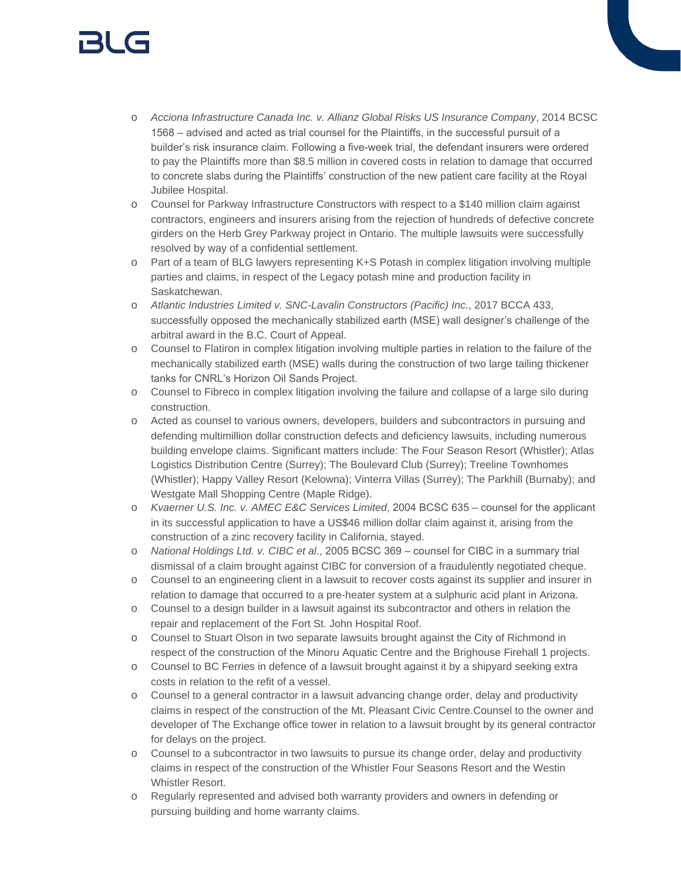# 131 (s

- o *Acciona Infrastructure Canada Inc. v. Allianz Global Risks US Insurance Company*, 2014 BCSC 1568 – advised and acted as trial counsel for the Plaintiffs, in the successful pursuit of a builder's risk insurance claim. Following a five-week trial, the defendant insurers were ordered to pay the Plaintiffs more than \$8.5 million in covered costs in relation to damage that occurred to concrete slabs during the Plaintiffs' construction of the new patient care facility at the Royal Jubilee Hospital.
- o Counsel for Parkway Infrastructure Constructors with respect to a \$140 million claim against contractors, engineers and insurers arising from the rejection of hundreds of defective concrete girders on the Herb Grey Parkway project in Ontario. The multiple lawsuits were successfully resolved by way of a confidential settlement.
- o Part of a team of BLG lawyers representing K+S Potash in complex litigation involving multiple parties and claims, in respect of the Legacy potash mine and production facility in Saskatchewan.
- o *Atlantic Industries Limited v. SNC-Lavalin Constructors (Pacific) Inc.*, 2017 BCCA 433, successfully opposed the mechanically stabilized earth (MSE) wall designer's challenge of the arbitral award in the B.C. Court of Appeal.
- o Counsel to Flatiron in complex litigation involving multiple parties in relation to the failure of the mechanically stabilized earth (MSE) walls during the construction of two large tailing thickener tanks for CNRL's Horizon Oil Sands Project.
- o Counsel to Fibreco in complex litigation involving the failure and collapse of a large silo during construction.
- o Acted as counsel to various owners, developers, builders and subcontractors in pursuing and defending multimillion dollar construction defects and deficiency lawsuits, including numerous building envelope claims. Significant matters include: The Four Season Resort (Whistler); Atlas Logistics Distribution Centre (Surrey); The Boulevard Club (Surrey); Treeline Townhomes (Whistler); Happy Valley Resort (Kelowna); Vinterra Villas (Surrey); The Parkhill (Burnaby); and Westgate Mall Shopping Centre (Maple Ridge).
- o *Kvaerner U.S. Inc. v. AMEC E&C Services Limited*, 2004 BCSC 635 counsel for the applicant in its successful application to have a US\$46 million dollar claim against it, arising from the construction of a zinc recovery facility in California, stayed.
- o *National Holdings Ltd. v. CIBC et al*., 2005 BCSC 369 counsel for CIBC in a summary trial dismissal of a claim brought against CIBC for conversion of a fraudulently negotiated cheque.
- o Counsel to an engineering client in a lawsuit to recover costs against its supplier and insurer in relation to damage that occurred to a pre-heater system at a sulphuric acid plant in Arizona.
- o Counsel to a design builder in a lawsuit against its subcontractor and others in relation the repair and replacement of the Fort St. John Hospital Roof.
- o Counsel to Stuart Olson in two separate lawsuits brought against the City of Richmond in respect of the construction of the Minoru Aquatic Centre and the Brighouse Firehall 1 projects.
- o Counsel to BC Ferries in defence of a lawsuit brought against it by a shipyard seeking extra costs in relation to the refit of a vessel.
- o Counsel to a general contractor in a lawsuit advancing change order, delay and productivity claims in respect of the construction of the Mt. Pleasant Civic Centre.Counsel to the owner and developer of The Exchange office tower in relation to a lawsuit brought by its general contractor for delays on the project.
- $\circ$  Counsel to a subcontractor in two lawsuits to pursue its change order, delay and productivity claims in respect of the construction of the Whistler Four Seasons Resort and the Westin Whistler Resort.
- o Regularly represented and advised both warranty providers and owners in defending or pursuing building and home warranty claims.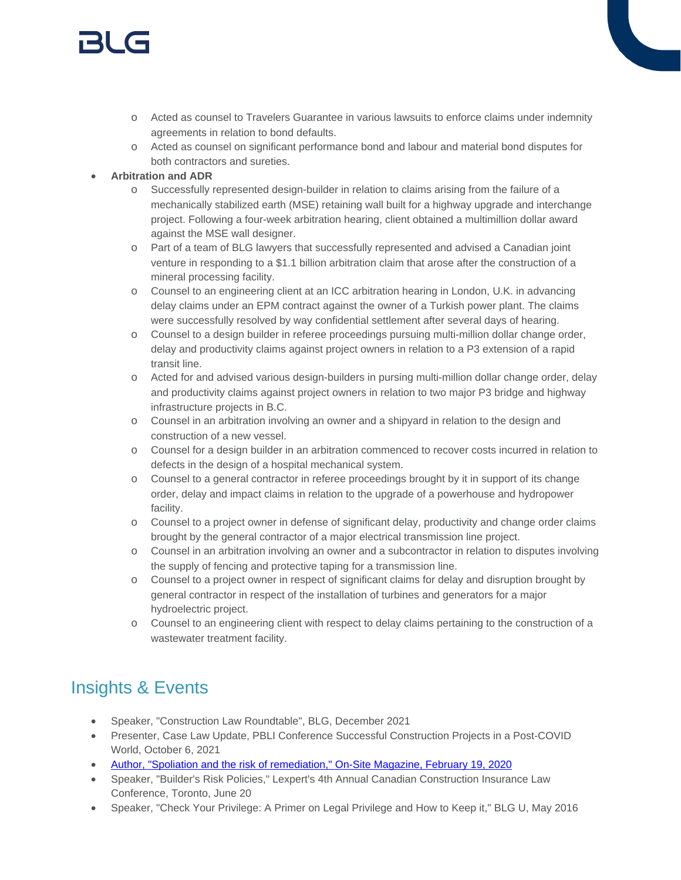# 131 (s

- o Acted as counsel to Travelers Guarantee in various lawsuits to enforce claims under indemnity agreements in relation to bond defaults.
- o Acted as counsel on significant performance bond and labour and material bond disputes for both contractors and sureties.

#### **Arbitration and ADR**

- o Successfully represented design-builder in relation to claims arising from the failure of a mechanically stabilized earth (MSE) retaining wall built for a highway upgrade and interchange project. Following a four-week arbitration hearing, client obtained a multimillion dollar award against the MSE wall designer.
- o Part of a team of BLG lawyers that successfully represented and advised a Canadian joint venture in responding to a \$1.1 billion arbitration claim that arose after the construction of a mineral processing facility.
- o Counsel to an engineering client at an ICC arbitration hearing in London, U.K. in advancing delay claims under an EPM contract against the owner of a Turkish power plant. The claims were successfully resolved by way confidential settlement after several days of hearing.
- o Counsel to a design builder in referee proceedings pursuing multi-million dollar change order, delay and productivity claims against project owners in relation to a P3 extension of a rapid transit line.
- o Acted for and advised various design-builders in pursing multi-million dollar change order, delay and productivity claims against project owners in relation to two major P3 bridge and highway infrastructure projects in B.C.
- o Counsel in an arbitration involving an owner and a shipyard in relation to the design and construction of a new vessel.
- o Counsel for a design builder in an arbitration commenced to recover costs incurred in relation to defects in the design of a hospital mechanical system.
- o Counsel to a general contractor in referee proceedings brought by it in support of its change order, delay and impact claims in relation to the upgrade of a powerhouse and hydropower facility.
- o Counsel to a project owner in defense of significant delay, productivity and change order claims brought by the general contractor of a major electrical transmission line project.
- o Counsel in an arbitration involving an owner and a subcontractor in relation to disputes involving the supply of fencing and protective taping for a transmission line.
- o Counsel to a project owner in respect of significant claims for delay and disruption brought by general contractor in respect of the installation of turbines and generators for a major hydroelectric project.
- o Counsel to an engineering client with respect to delay claims pertaining to the construction of a wastewater treatment facility.

### Insights & Events

- Speaker, "Construction Law Roundtable", BLG, December 2021
- Presenter, Case Law Update, PBLI Conference Successful Construction Projects in a Post-COVID World, October 6, 2021
- [Author, "Spoliation and the risk of remediation," On-Site Magazine, February 19, 2020](https://www.on-sitemag.com/features/spoliation-and-the-risk-of-remediation/)
- Speaker, "Builder's Risk Policies," Lexpert's 4th Annual Canadian Construction Insurance Law Conference, Toronto, June 20
- Speaker, "Check Your Privilege: A Primer on Legal Privilege and How to Keep it," BLG U, May 2016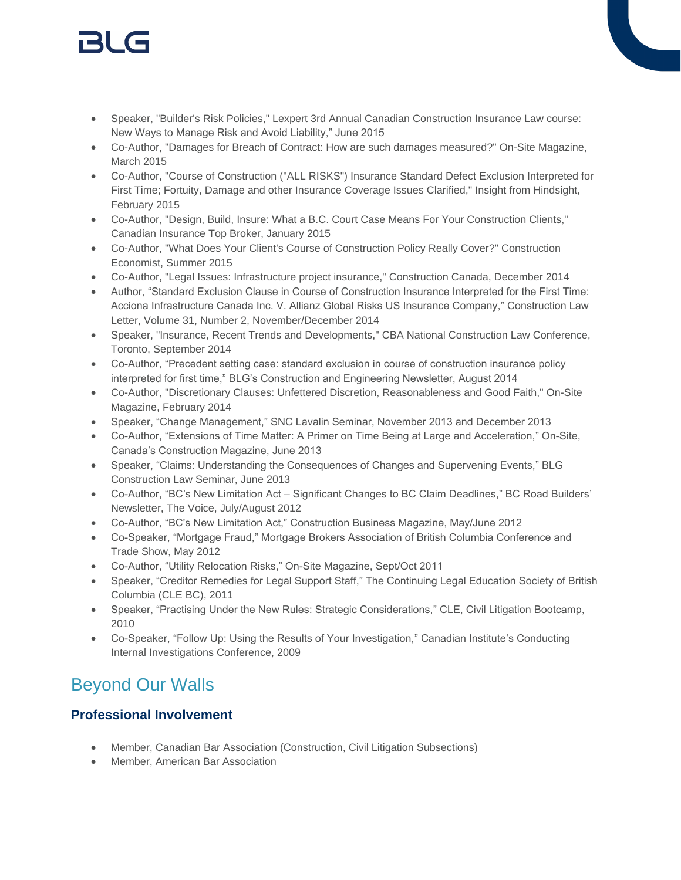# 151 (s

- Speaker, "Builder's Risk Policies," Lexpert 3rd Annual Canadian Construction Insurance Law course: New Ways to Manage Risk and Avoid Liability," June 2015
- Co-Author, "Damages for Breach of Contract: How are such damages measured?" On-Site Magazine, March 2015
- Co-Author, "Course of Construction ("ALL RISKS") Insurance Standard Defect Exclusion Interpreted for First Time; Fortuity, Damage and other Insurance Coverage Issues Clarified," Insight from Hindsight, February 2015
- Co-Author, "Design, Build, Insure: What a B.C. Court Case Means For Your Construction Clients," Canadian Insurance Top Broker, January 2015
- Co-Author, "What Does Your Client's Course of Construction Policy Really Cover?" Construction Economist, Summer 2015
- Co-Author, "Legal Issues: Infrastructure project insurance," Construction Canada, December 2014
- Author, "Standard Exclusion Clause in Course of Construction Insurance Interpreted for the First Time: Acciona Infrastructure Canada Inc. V. Allianz Global Risks US Insurance Company," Construction Law Letter, Volume 31, Number 2, November/December 2014
- Speaker, "Insurance, Recent Trends and Developments," CBA National Construction Law Conference, Toronto, September 2014
- Co-Author, "Precedent setting case: standard exclusion in course of construction insurance policy interpreted for first time," BLG's Construction and Engineering Newsletter, August 2014
- Co-Author, "Discretionary Clauses: Unfettered Discretion, Reasonableness and Good Faith," On-Site Magazine, February 2014
- Speaker, "Change Management," SNC Lavalin Seminar, November 2013 and December 2013
- Co-Author, "Extensions of Time Matter: A Primer on Time Being at Large and Acceleration," On-Site, Canada's Construction Magazine, June 2013
- Speaker, "Claims: Understanding the Consequences of Changes and Supervening Events," BLG Construction Law Seminar, June 2013
- Co-Author, "BC's New Limitation Act Significant Changes to BC Claim Deadlines," BC Road Builders' Newsletter, The Voice, July/August 2012
- Co-Author, "BC's New Limitation Act," Construction Business Magazine, May/June 2012
- Co-Speaker, "Mortgage Fraud," Mortgage Brokers Association of British Columbia Conference and Trade Show, May 2012
- Co-Author, "Utility Relocation Risks," On-Site Magazine, Sept/Oct 2011
- Speaker, "Creditor Remedies for Legal Support Staff," The Continuing Legal Education Society of British Columbia (CLE BC), 2011
- Speaker, "Practising Under the New Rules: Strategic Considerations," CLE, Civil Litigation Bootcamp, 2010
- Co-Speaker, "Follow Up: Using the Results of Your Investigation," Canadian Institute's Conducting Internal Investigations Conference, 2009

### Beyond Our Walls

### **Professional Involvement**

- Member, Canadian Bar Association (Construction, Civil Litigation Subsections)
- Member, American Bar Association